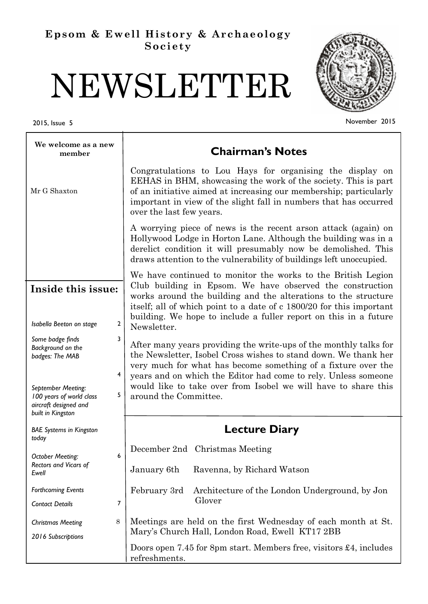# **Epsom & Ewell History & Archaeology Society**

# NEWSLETTER

T

2015, Issue 5



November 2015

| We welcome as a new<br>member                                                                                                                                           | <b>Chairman's Notes</b>                                                                                                                                                                                                                                                                                                                                            |  |
|-------------------------------------------------------------------------------------------------------------------------------------------------------------------------|--------------------------------------------------------------------------------------------------------------------------------------------------------------------------------------------------------------------------------------------------------------------------------------------------------------------------------------------------------------------|--|
| Mr G Shaxton                                                                                                                                                            | Congratulations to Lou Hays for organising the display on<br>EEHAS in BHM, showcasing the work of the society. This is part<br>of an initiative aimed at increasing our membership; particularly<br>important in view of the slight fall in numbers that has occurred<br>over the last few years.                                                                  |  |
|                                                                                                                                                                         | A worrying piece of news is the recent arson attack (again) on<br>Hollywood Lodge in Horton Lane. Although the building was in a<br>derelict condition it will presumably now be demolished. This<br>draws attention to the vulnerability of buildings left unoccupied.                                                                                            |  |
| Inside this issue:<br>2<br>Isabella Beeton on stage                                                                                                                     | We have continued to monitor the works to the British Legion<br>Club building in Epsom. We have observed the construction<br>works around the building and the alterations to the structure<br>itself; all of which point to a date of c 1800/20 for this important<br>building. We hope to include a fuller report on this in a future<br>Newsletter.             |  |
| 3<br>Some badge finds<br>Background on the<br>badges: The MAB<br>4<br>September Meeting:<br>5<br>100 years of world class<br>aircraft designed and<br>built in Kingston | After many years providing the write-ups of the monthly talks for<br>the Newsletter, Isobel Cross wishes to stand down. We thank her<br>very much for what has become something of a fixture over the<br>years and on which the Editor had come to rely. Unless someone<br>would like to take over from Isobel we will have to share this<br>around the Committee. |  |
| <b>BAE Systems in Kingston</b>                                                                                                                                          | <b>Lecture Diary</b>                                                                                                                                                                                                                                                                                                                                               |  |
| today<br>6<br><b>October Meeting:</b><br>Rectors and Vicars of<br>Ewell                                                                                                 | December 2nd Christmas Meeting<br>January 6th<br>Ravenna, by Richard Watson                                                                                                                                                                                                                                                                                        |  |
| <b>Forthcoming Events</b><br>7<br><b>Contact Details</b>                                                                                                                | February 3rd<br>Architecture of the London Underground, by Jon<br>Glover                                                                                                                                                                                                                                                                                           |  |
| 8<br><b>Christmas Meeting</b><br>2016 Subscriptions                                                                                                                     | Meetings are held on the first Wednesday of each month at St.<br>Mary's Church Hall, London Road, Ewell KT17 2BB<br>Doors open 7.45 for 8pm start. Members free, visitors £4, includes                                                                                                                                                                             |  |
|                                                                                                                                                                         | refreshments.                                                                                                                                                                                                                                                                                                                                                      |  |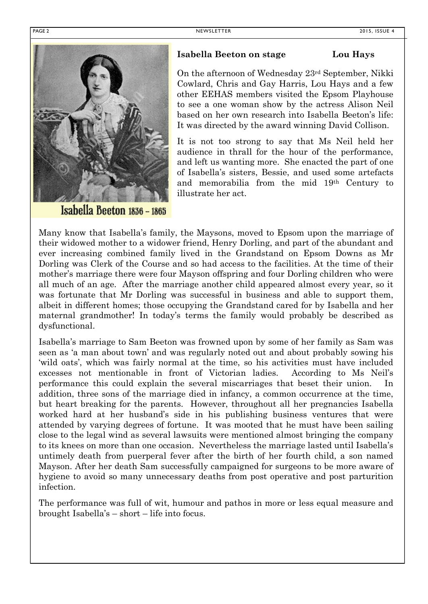

Isabella Beeton 1836 - 1865

## **Isabella Beeton on stage Lou Hays**

On the afternoon of Wednesday 23rd September, Nikki Cowlard, Chris and Gay Harris, Lou Hays and a few other EEHAS members visited the Epsom Playhouse to see a one woman show by the actress Alison Neil based on her own research into Isabella Beeton's life: It was directed by the award winning David Collison.

It is not too strong to say that Ms Neil held her audience in thrall for the hour of the performance, and left us wanting more. She enacted the part of one of Isabella's sisters, Bessie, and used some artefacts and memorabilia from the mid 19th Century to illustrate her act.

Many know that Isabella's family, the Maysons, moved to Epsom upon the marriage of their widowed mother to a widower friend, Henry Dorling, and part of the abundant and ever increasing combined family lived in the Grandstand on Epsom Downs as Mr Dorling was Clerk of the Course and so had access to the facilities. At the time of their mother's marriage there were four Mayson offspring and four Dorling children who were all much of an age. After the marriage another child appeared almost every year, so it was fortunate that Mr Dorling was successful in business and able to support them, albeit in different homes; those occupying the Grandstand cared for by Isabella and her maternal grandmother! In today's terms the family would probably be described as dysfunctional.

Isabella's marriage to Sam Beeton was frowned upon by some of her family as Sam was seen as 'a man about town' and was regularly noted out and about probably sowing his 'wild oats', which was fairly normal at the time, so his activities must have included excesses not mentionable in front of Victorian ladies. According to Ms Neil's performance this could explain the several miscarriages that beset their union. In addition, three sons of the marriage died in infancy, a common occurrence at the time, but heart breaking for the parents. However, throughout all her pregnancies Isabella worked hard at her husband's side in his publishing business ventures that were attended by varying degrees of fortune. It was mooted that he must have been sailing close to the legal wind as several lawsuits were mentioned almost bringing the company to its knees on more than one occasion. Nevertheless the marriage lasted until Isabella's untimely death from puerperal fever after the birth of her fourth child, a son named Mayson. After her death Sam successfully campaigned for surgeons to be more aware of hygiene to avoid so many unnecessary deaths from post operative and post parturition infection.

The performance was full of wit, humour and pathos in more or less equal measure and brought Isabella's – short – life into focus.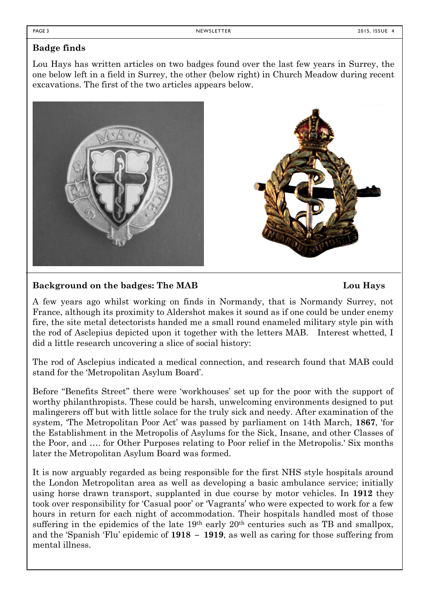# **Badge finds**

Lou Hays has written articles on two badges found over the last few years in Surrey, the one below left in a field in Surrey, the other (below right) in Church Meadow during recent excavations. The first of the two articles appears below.



# **Background on the badges: The MAB Lou Hays**

A few years ago whilst working on finds in Normandy, that is Normandy Surrey, not France, although its proximity to Aldershot makes it sound as if one could be under enemy fire, the site metal detectorists handed me a small round enameled military style pin with the rod of Asclepius depicted upon it together with the letters MAB. Interest whetted, I did a little research uncovering a slice of social history:

The rod of Asclepius indicated a medical connection, and research found that MAB could stand for the 'Metropolitan Asylum Board'.

Before "Benefits Street" there were 'workhouses' set up for the poor with the support of worthy philanthropists. These could be harsh, unwelcoming environments designed to put malingerers off but with little solace for the truly sick and needy. After examination of the system, 'The Metropolitan Poor Act' was passed by parliament on 14th March, **1867**, 'for the Establishment in the Metropolis of Asylums for the Sick, Insane, and other Classes of the Poor, and …. for Other Purposes relating to Poor relief in the Metropolis.' Six months later the Metropolitan Asylum Board was formed.

It is now arguably regarded as being responsible for the first NHS style hospitals around the London Metropolitan area as well as developing a basic ambulance service; initially using horse drawn transport, supplanted in due course by motor vehicles. In **1912** they took over responsibility for 'Casual poor' or 'Vagrants' who were expected to work for a few hours in return for each night of accommodation. Their hospitals handled most of those suffering in the epidemics of the late 19<sup>th</sup> early 20<sup>th</sup> centuries such as TB and smallpox, and the 'Spanish 'Flu' epidemic of **1918 – 1919**, as well as caring for those suffering from mental illness.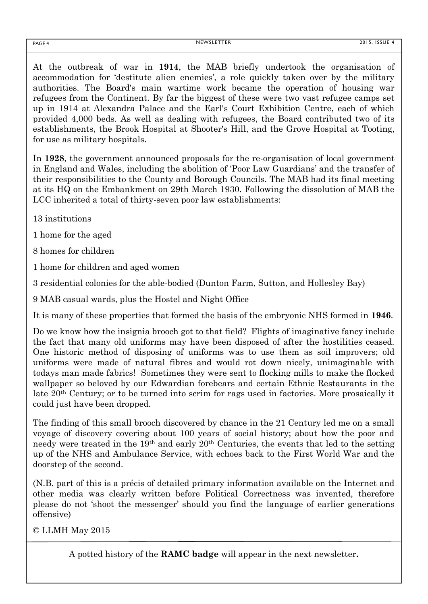At the outbreak of war in **1914**, the MAB briefly undertook the organisation of accommodation for 'destitute alien enemies', a role quickly taken over by the military authorities. The Board's main wartime work became the operation of housing war refugees from the Continent. By far the biggest of these were two vast refugee camps set up in 1914 at Alexandra Palace and the Earl's Court Exhibition Centre, each of which provided 4,000 beds. As well as dealing with refugees, the Board contributed two of its establishments, the [Brook Hospital](http://www.workhouses.org.uk/MAB-Brook/) at Shooter's Hill, and the [Grove Hospital](http://www.workhouses.org.uk/MAB-Grove/) at Tooting, for use as military hospitals.

In **1928**, the government announced proposals for the re-organisation of local government in England and Wales, including the abolition of 'Poor Law Guardians' and the transfer of their responsibilities to the County and Borough Councils. The MAB had its final meeting at its HQ on the Embankment on 29th March 1930. Following the dissolution of MAB the LCC inherited a total of thirty-seven poor law establishments:

13 institutions

1 home for the aged

8 homes for children

1 home for children and aged women

3 residential colonies for the able-bodied (Dunton Farm, Sutton, and Hollesley Bay)

9 MAB casual wards, plus the Hostel and Night Office

It is many of these properties that formed the basis of the embryonic NHS formed in **1946**.

Do we know how the insignia brooch got to that field? Flights of imaginative fancy include the fact that many old uniforms may have been disposed of after the hostilities ceased. One historic method of disposing of uniforms was to use them as soil improvers; old uniforms were made of natural fibres and would rot down nicely, unimaginable with todays man made fabrics! Sometimes they were sent to flocking mills to make the flocked wallpaper so beloved by our Edwardian forebears and certain Ethnic Restaurants in the late 20th Century; or to be turned into scrim for rags used in factories. More prosaically it could just have been dropped.

The finding of this small brooch discovered by chance in the 21 Century led me on a small voyage of discovery covering about 100 years of social history; about how the poor and needy were treated in the 19<sup>th</sup> and early 20<sup>th</sup> Centuries, the events that led to the setting up of the NHS and Ambulance Service, with echoes back to the First World War and the doorstep of the second.

(N.B. part of this is a précis of detailed primary information available on the Internet and other media was clearly written before Political Correctness was invented, therefore please do not 'shoot the messenger' should you find the language of earlier generations offensive)

© LLMH May 2015

A potted history of the **RAMC badge** will appear in the next newsletter**.**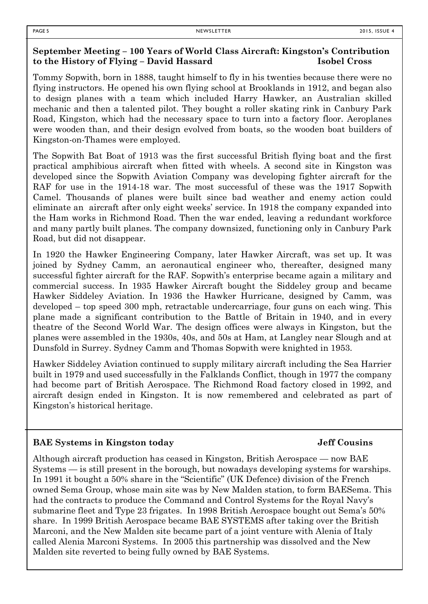### **September Meeting – 100 Years of World Class Aircraft: Kingston's Contribution to the History of Flying – David Hassard Isobel Cross**

Tommy Sopwith, born in 1888, taught himself to fly in his twenties because there were no flying instructors. He opened his own flying school at Brooklands in 1912, and began also to design planes with a team which included Harry Hawker, an Australian skilled mechanic and then a talented pilot. They bought a roller skating rink in Canbury Park Road, Kingston, which had the necessary space to turn into a factory floor. Aeroplanes were wooden than, and their design evolved from boats, so the wooden boat builders of Kingston-on-Thames were employed.

The Sopwith Bat Boat of 1913 was the first successful British flying boat and the first practical amphibious aircraft when fitted with wheels. A second site in Kingston was developed since the Sopwith Aviation Company was developing fighter aircraft for the RAF for use in the 1914-18 war. The most successful of these was the 1917 Sopwith Camel. Thousands of planes were built since bad weather and enemy action could eliminate an aircraft after only eight weeks' service. In 1918 the company expanded into the Ham works in Richmond Road. Then the war ended, leaving a redundant workforce and many partly built planes. The company downsized, functioning only in Canbury Park Road, but did not disappear.

In 1920 the Hawker Engineering Company, later Hawker Aircraft, was set up. It was joined by Sydney Camm, an aeronautical engineer who, thereafter, designed many successful fighter aircraft for the RAF. Sopwith's enterprise became again a military and commercial success. In 1935 Hawker Aircraft bought the Siddeley group and became Hawker Siddeley Aviation. In 1936 the Hawker Hurricane, designed by Camm, was developed – top speed 300 mph, retractable undercarriage, four guns on each wing. This plane made a significant contribution to the Battle of Britain in 1940, and in every theatre of the Second World War. The design offices were always in Kingston, but the planes were assembled in the 1930s, 40s, and 50s at Ham, at Langley near Slough and at Dunsfold in Surrey. Sydney Camm and Thomas Sopwith were knighted in 1953.

Hawker Siddeley Aviation continued to supply military aircraft including the Sea Harrier built in 1979 and used successfully in the Falklands Conflict, though in 1977 the company had become part of British Aerospace. The Richmond Road factory closed in 1992, and aircraft design ended in Kingston. It is now remembered and celebrated as part of Kingston's historical heritage.

#### **BAE Systems in Kingston today Jeff Cousins**

Although aircraft production has ceased in Kingston, British Aerospace — now BAE Systems — is still present in the borough, but nowadays developing systems for warships. In 1991 it bought a 50% share in the "Scientific" (UK Defence) division of the French owned Sema Group, whose main site was by New Malden station, to form BAESema. This had the contracts to produce the Command and Control Systems for the Royal Navy's submarine fleet and Type 23 frigates. In 1998 British Aerospace bought out Sema's 50% share. In 1999 British Aerospace became BAE SYSTEMS after taking over the British Marconi, and the New Malden site became part of a joint venture with Alenia of Italy called Alenia Marconi Systems. In 2005 this partnership was dissolved and the New Malden site reverted to being fully owned by BAE Systems.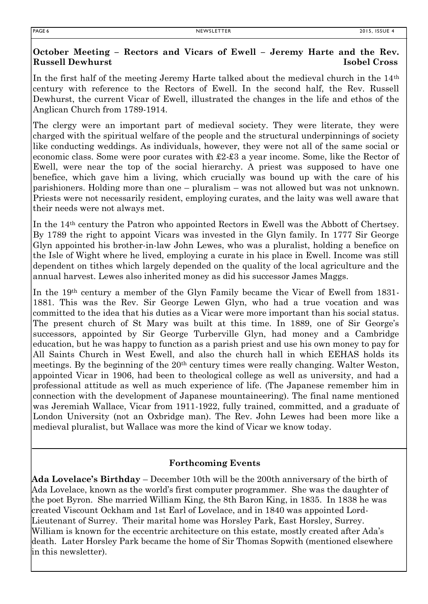# **October Meeting – Rectors and Vicars of Ewell – Jeremy Harte and the Rev. Russell Dewhurst Isobel Cross**

In the first half of the meeting Jeremy Harte talked about the medieval church in the 14th century with reference to the Rectors of Ewell. In the second half, the Rev. Russell Dewhurst, the current Vicar of Ewell, illustrated the changes in the life and ethos of the Anglican Church from 1789-1914.

The clergy were an important part of medieval society. They were literate, they were charged with the spiritual welfare of the people and the structural underpinnings of society like conducting weddings. As individuals, however, they were not all of the same social or economic class. Some were poor curates with £2-£3 a year income. Some, like the Rector of Ewell, were near the top of the social hierarchy. A priest was supposed to have one benefice, which gave him a living, which crucially was bound up with the care of his parishioners. Holding more than one – pluralism – was not allowed but was not unknown. Priests were not necessarily resident, employing curates, and the laity was well aware that their needs were not always met.

In the 14th century the Patron who appointed Rectors in Ewell was the Abbott of Chertsey. By 1789 the right to appoint Vicars was invested in the Glyn family. In 1777 Sir George Glyn appointed his brother-in-law John Lewes, who was a pluralist, holding a benefice on the Isle of Wight where he lived, employing a curate in his place in Ewell. Income was still dependent on tithes which largely depended on the quality of the local agriculture and the annual harvest. Lewes also inherited money as did his successor James Maggs.

In the 19th century a member of the Glyn Family became the Vicar of Ewell from 1831- 1881. This was the Rev. Sir George Lewen Glyn, who had a true vocation and was committed to the idea that his duties as a Vicar were more important than his social status. The present church of St Mary was built at this time. In 1889, one of Sir George's successors, appointed by Sir George Turberville Glyn, had money and a Cambridge education, but he was happy to function as a parish priest and use his own money to pay for All Saints Church in West Ewell, and also the church hall in which EEHAS holds its meetings. By the beginning of the 20<sup>th</sup> century times were really changing. Walter Weston, appointed Vicar in 1906, had been to theological college as well as university, and had a professional attitude as well as much experience of life. (The Japanese remember him in connection with the development of Japanese mountaineering). The final name mentioned was Jeremiah Wallace, Vicar from 1911-1922, fully trained, committed, and a graduate of London University (not an Oxbridge man). The Rev. John Lewes had been more like a medieval pluralist, but Wallace was more the kind of Vicar we know today.

# **Forthcoming Events**

**Ada Lovelace's Birthday** – December 10th will be the 200th anniversary of the birth of Ada Lovelace, known as the world's first computer programmer. She was the daughter of the poet Byron. She married William King, the 8th Baron King, in 1835. In 1838 he was created Viscount Ockham and 1st Earl of Lovelace, and in 1840 was appointed Lord-Lieutenant of Surrey. Their marital home was Horsley Park, East Horsley, Surrey. William is known for the eccentric architecture on this estate, mostly created after Ada's death. Later Horsley Park became the home of Sir Thomas Sopwith (mentioned elsewhere in this newsletter).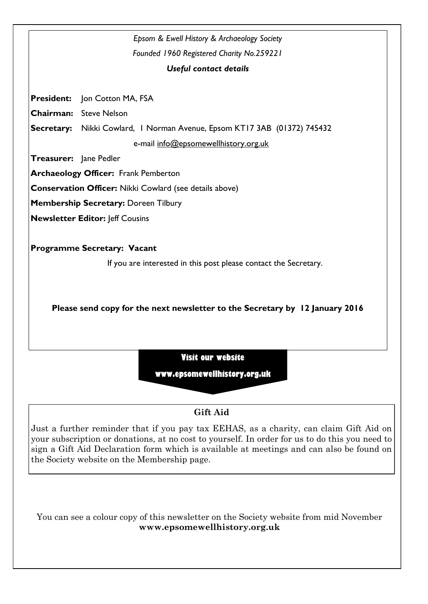

# **Gift Aid**

Just a further reminder that if you pay tax EEHAS, as a charity, can claim Gift Aid on your subscription or donations, at no cost to yourself. In order for us to do this you need to sign a Gift Aid Declaration form which is available at meetings and can also be found on the Society website on the Membership page.

You can see a colour copy of this newsletter on the Society website from mid November **www.epsomewellhistory.org.uk**